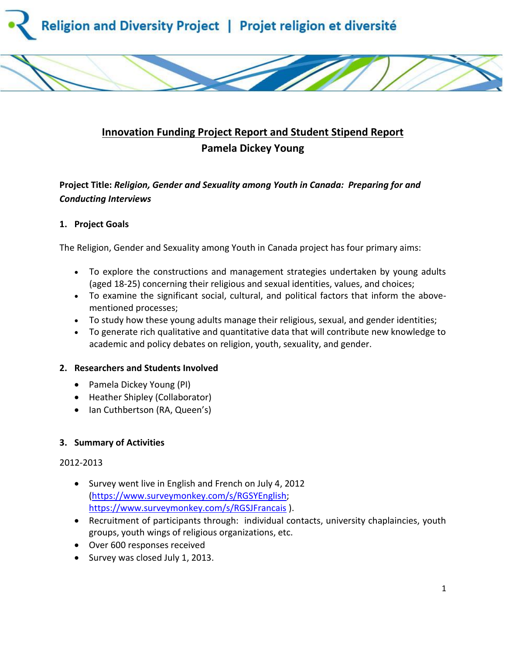

# **Innovation Funding Project Report and Student Stipend Report Pamela Dickey Young**

## **Project Title:** *Religion, Gender and Sexuality among Youth in Canada: Preparing for and Conducting Interviews*

### **1. Project Goals**

The Religion, Gender and Sexuality among Youth in Canada project has four primary aims:

- To explore the constructions and management strategies undertaken by young adults (aged 18-25) concerning their religious and sexual identities, values, and choices;
- To examine the significant social, cultural, and political factors that inform the abovementioned processes;
- To study how these young adults manage their religious, sexual, and gender identities;
- To generate rich qualitative and quantitative data that will contribute new knowledge to academic and policy debates on religion, youth, sexuality, and gender.

### **2. Researchers and Students Involved**

- Pamela Dickey Young (PI)
- Heather Shipley (Collaborator)
- Ian Cuthbertson (RA, Queen's)

### **3. Summary of Activities**

### 2012-2013

- Survey went live in English and French on July 4, 2012 [\(https://www.surveymonkey.com/s/RGSYEnglish;](https://www.surveymonkey.com/s/RGSYEnglish) <https://www.surveymonkey.com/s/RGSJFrancais> ).
- Recruitment of participants through: individual contacts, university chaplaincies, youth groups, youth wings of religious organizations, etc.
- Over 600 responses received
- Survey was closed July 1, 2013.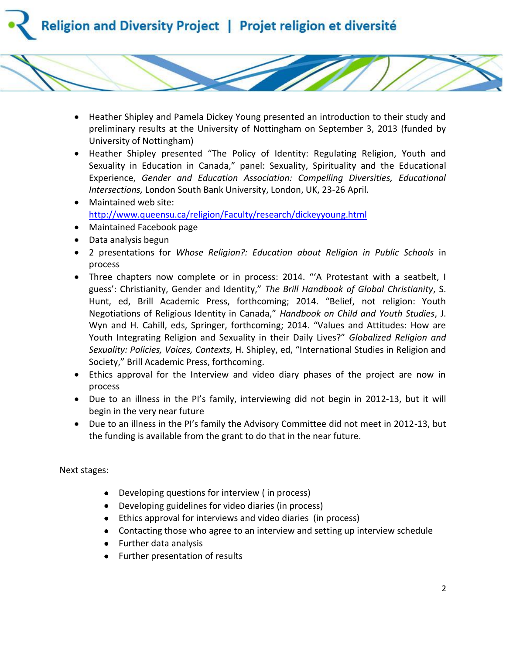

- Heather Shipley and Pamela Dickey Young presented an introduction to their study and preliminary results at the University of Nottingham on September 3, 2013 (funded by University of Nottingham)
- Heather Shipley presented "The Policy of Identity: Regulating Religion, Youth and Sexuality in Education in Canada," panel: Sexuality, Spirituality and the Educational Experience, *Gender and Education Association: Compelling Diversities, Educational Intersections,* London South Bank University, London, UK, 23-26 April.
- Maintained web site: <http://www.queensu.ca/religion/Faculty/research/dickeyyoung.html>
- Maintained Facebook page
- Data analysis begun
- 2 presentations for *Whose Religion?: Education about Religion in Public Schools* in process
- Three chapters now complete or in process: 2014. "'A Protestant with a seatbelt, I guess': Christianity, Gender and Identity," *The Brill Handbook of Global Christianity*, S. Hunt, ed, Brill Academic Press, forthcoming; 2014. "Belief, not religion: Youth Negotiations of Religious Identity in Canada," *Handbook on Child and Youth Studies*, J. Wyn and H. Cahill, eds, Springer, forthcoming; 2014. "Values and Attitudes: How are Youth Integrating Religion and Sexuality in their Daily Lives?" *Globalized Religion and Sexuality: Policies, Voices, Contexts,* H. Shipley, ed, "International Studies in Religion and Society," Brill Academic Press, forthcoming.
- Ethics approval for the Interview and video diary phases of the project are now in process
- Due to an illness in the PI's family, interviewing did not begin in 2012-13, but it will begin in the very near future
- Due to an illness in the PI's family the Advisory Committee did not meet in 2012-13, but the funding is available from the grant to do that in the near future.

Next stages:

- Developing questions for interview ( in process)
- Developing guidelines for video diaries (in process)
- Ethics approval for interviews and video diaries (in process)
- Contacting those who agree to an interview and setting up interview schedule
- Further data analysis
- Further presentation of results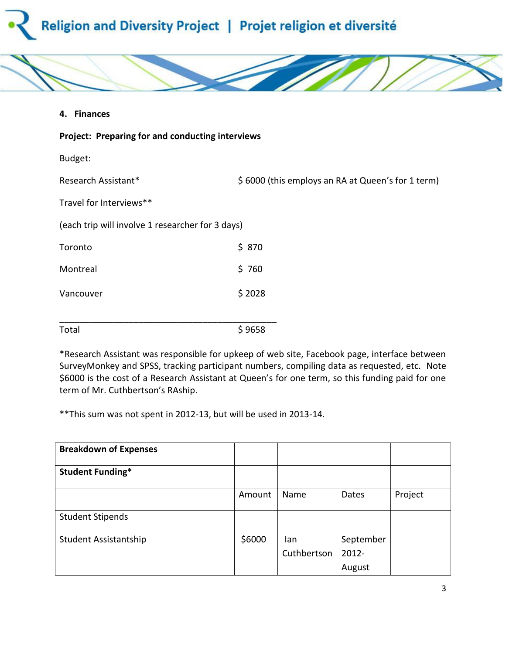



**4. Finances**

| Project: Preparing for and conducting interviews |                                                   |  |  |  |  |  |
|--------------------------------------------------|---------------------------------------------------|--|--|--|--|--|
| Budget:                                          |                                                   |  |  |  |  |  |
| Research Assistant*                              | \$6000 (this employs an RA at Queen's for 1 term) |  |  |  |  |  |
| Travel for Interviews**                          |                                                   |  |  |  |  |  |
| (each trip will involve 1 researcher for 3 days) |                                                   |  |  |  |  |  |
| Toronto                                          | \$870                                             |  |  |  |  |  |
| Montreal                                         | \$760                                             |  |  |  |  |  |
| Vancouver                                        | \$2028                                            |  |  |  |  |  |
|                                                  |                                                   |  |  |  |  |  |
| Total                                            | \$9658                                            |  |  |  |  |  |

\*Research Assistant was responsible for upkeep of web site, Facebook page, interface between SurveyMonkey and SPSS, tracking participant numbers, compiling data as requested, etc. Note \$6000 is the cost of a Research Assistant at Queen's for one term, so this funding paid for one term of Mr. Cuthbertson's RAship.

\*\*This sum was not spent in 2012-13, but will be used in 2013-14.

| <b>Breakdown of Expenses</b> |        |                    |                       |         |
|------------------------------|--------|--------------------|-----------------------|---------|
| <b>Student Funding*</b>      |        |                    |                       |         |
|                              | Amount | Name               | Dates                 | Project |
| <b>Student Stipends</b>      |        |                    |                       |         |
| Student Assistantship        | \$6000 | lan<br>Cuthbertson | September<br>$2012 -$ |         |
|                              |        |                    | August                |         |